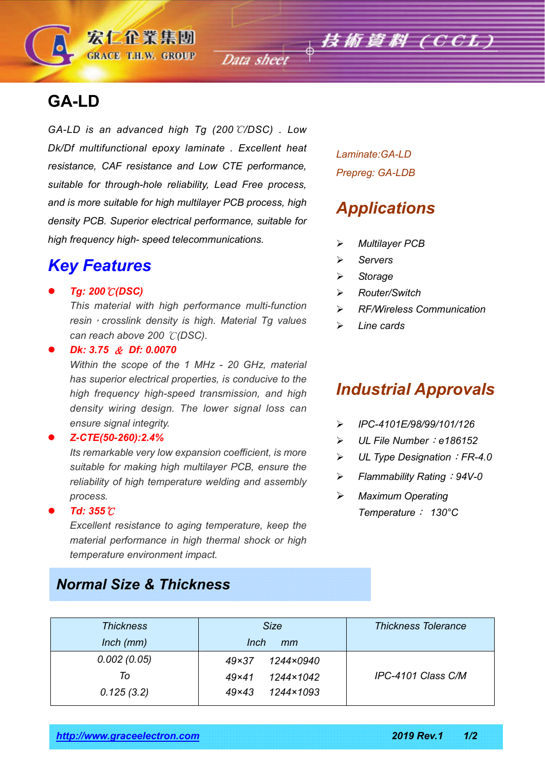## **GA-LD**

*GA-LD is an advanced high Tg (200*℃*/DSC) . Low Dk/Df multifunctional epoxy laminate . Excellent heat resistance, CAF resistance and Low CTE performance, suitable for through-hole reliability, Lead Free process, and is more suitable for high multilayer PCB process, high density PCB. Superior electrical performance, suitable for high frequency high- speed telecommunications.*

宏仁企業集團 **GRACE T.H.W. GROUP** 

### *Key Features*

*Tg: 200*℃*(DSC)*

*This material with high performance multi-function resin*,*crosslink density is high. Material Tg values can reach above 200* ℃*(DSC).*

*Dk: 3.75* & *Df: 0.0070*

*Within the scope of the 1 MHz - 20 GHz, material has superior electrical properties, is conducive to the high frequency high-speed transmission, and high density wiring design. The lower signal loss can ensure signal integrity.*

#### *Z-CTE(50-260):2.4%*

*Its remarkable very low expansion coefficient, is more suitable for making high multilayer PCB, ensure the reliability of high temperature welding and assembly process.*

#### *Td: 355*℃

*Excellent resistance to aging temperature, keep the material performance in high thermal shock or high temperature environment impact.*

### *Normal Size & Thickness*

*Laminate:GA-LD Prepreg: GA-LDB*

### *Applications*

- *Multilayer PCB*
- *Servers*
- *Storage*
- *Router/Switch*
- *RF/Wireless Communication*
- *Line cards*

# *Industrial Approvals*

- *IPC-4101E/98/99/101/126*
- *UL File Number*:*e186152*
- *UL Type Designation*:*FR-4.0*
- *Flammability Rating*:*94V-0*
- *Maximum Operating Temperature*: *130°C*

| <b>Thickness</b> | <b>Size</b>               | <b>Thickness Tolerance</b> |  |
|------------------|---------------------------|----------------------------|--|
| $lnch$ ( $mm$ )  | Inch<br>mm                |                            |  |
| 0.002(0.05)      | 1244×0940<br>$49\times37$ |                            |  |
| To               | 1244×1042<br>$49\times41$ | IPC-4101 Class C/M         |  |
| 0.125(3.2)       | $49\times43$<br>1244×1093 |                            |  |